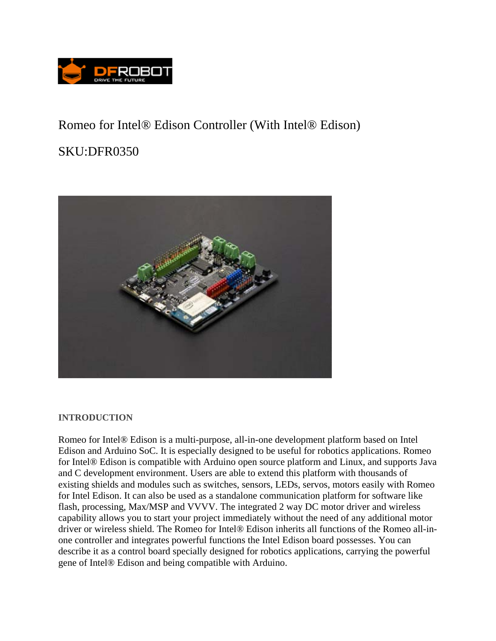

## Romeo for Intel® Edison Controller (With Intel® Edison)

# SKU:DFR0350



#### **INTRODUCTION**

Romeo for Intel® Edison is a multi-purpose, all-in-one development platform based on Intel Edison and Arduino SoC. It is especially designed to be useful for robotics applications. Romeo for Intel® Edison is compatible with Arduino open source platform and Linux, and supports Java and C development environment. Users are able to extend this platform with thousands of existing shields and modules such as switches, sensors, LEDs, servos, motors easily with Romeo for Intel Edison. It can also be used as a standalone communication platform for software like flash, processing, Max/MSP and VVVV. The integrated 2 way DC motor driver and wireless capability allows you to start your project immediately without the need of any additional motor driver or wireless shield. The Romeo for Intel® Edison inherits all functions of the Romeo all-inone controller and integrates powerful functions the Intel Edison board possesses. You can describe it as a control board specially designed for robotics applications, carrying the powerful gene of Intel® Edison and being compatible with Arduino.